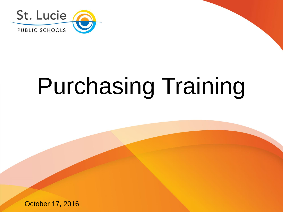

# Purchasing Training

October 17, 2016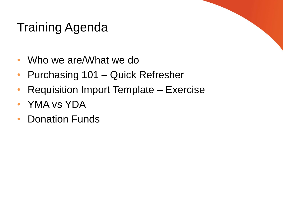# Training Agenda

- Who we are/What we do
- Purchasing 101 Quick Refresher
- Requisition Import Template Exercise
- YMA vs YDA
- Donation Funds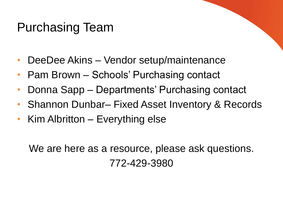## Purchasing Team

- DeeDee Akins Vendor setup/maintenance
- Pam Brown Schools' Purchasing contact
- Donna Sapp Departments' Purchasing contact
- Shannon Dunbar– Fixed Asset Inventory & Records
- Kim Albritton Everything else

We are here as a resource, please ask questions. 772-429-3980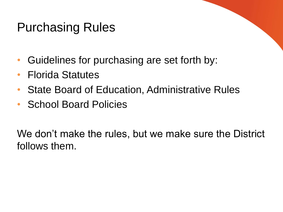## Purchasing Rules

- Guidelines for purchasing are set forth by:
- Florida Statutes
- State Board of Education, Administrative Rules
- School Board Policies

We don't make the rules, but we make sure the District follows them.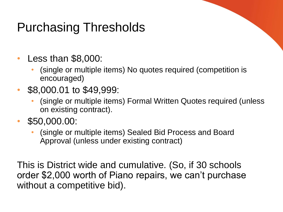## Purchasing Thresholds

- Less than \$8,000:
	- (single or multiple items) No quotes required (competition is encouraged)
- \$8,000.01 to \$49,999:
	- (single or multiple items) Formal Written Quotes required (unless on existing contract).
- \$50,000.00:
	- (single or multiple items) Sealed Bid Process and Board Approval (unless under existing contract)

This is District wide and cumulative. (So, if 30 schools order \$2,000 worth of Piano repairs, we can't purchase without a competitive bid).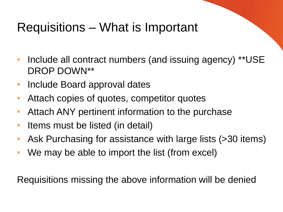## Requisitions – What is Important

- Include all contract numbers (and issuing agency) \*\*USE DROP DOWN\*\*
- Include Board approval dates
- Attach copies of quotes, competitor quotes
- Attach ANY pertinent information to the purchase
- Items must be listed (in detail)
- Ask Purchasing for assistance with large lists (>30 items)
- We may be able to import the list (from excel)

Requisitions missing the above information will be denied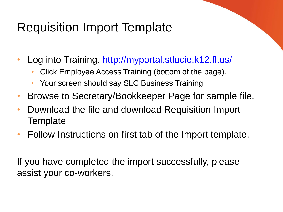# Requisition Import Template

- Log into Training. <http://myportal.stlucie.k12.fl.us/>
	- Click Employee Access Training (bottom of the page).
	- Your screen should say SLC Business Training
- Browse to Secretary/Bookkeeper Page for sample file.
- Download the file and download Requisition Import **Template**
- Follow Instructions on first tab of the Import template.

If you have completed the import successfully, please assist your co-workers.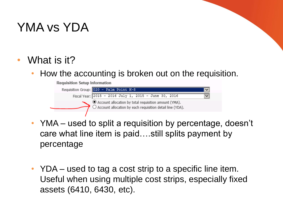# YMA vs YDA

#### • What is it?

• How the accounting is broken out on the requisition.

**Requisition Setup Information** 



- YMA used to split a requisition by percentage, doesn't care what line item is paid….still splits payment by percentage
- YDA used to tag a cost strip to a specific line item. Useful when using multiple cost strips, especially fixed assets (6410, 6430, etc).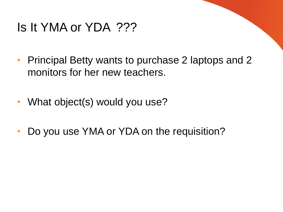## Is It YMA or YDA ???

- Principal Betty wants to purchase 2 laptops and 2 monitors for her new teachers.
- What object(s) would you use?
- Do you use YMA or YDA on the requisition?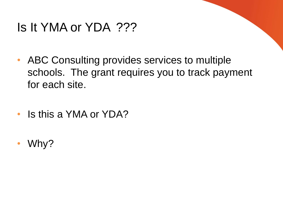## Is It YMA or YDA ???

- ABC Consulting provides services to multiple schools. The grant requires you to track payment for each site.
- Is this a YMA or YDA?
- Why?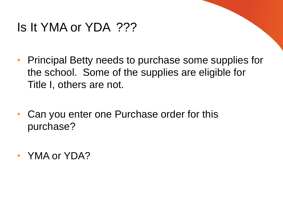## Is It YMA or YDA ???

- Principal Betty needs to purchase some supplies for the school. Some of the supplies are eligible for Title I, others are not.
- Can you enter one Purchase order for this purchase?
- YMA or YDA?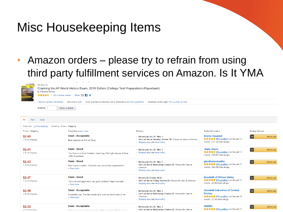### Misc Housekeeping Items

• Amazon orders – please try to refrain from using third party fulfillment services on Amazon. Is It YMA

| <b>LOOK INSIDE</b><br>All offers for<br>Cracking the AP World History Exam, 2016 Edition (College Test Preparation) (Paperback)<br>AP<br>World History<br>by Princeton Review<br>★★★★★ + 662 customer reviews   Share   5<br>Every purchase on Amazon.com is protected by an A-to-z guarantee.   Feedback on this page? Tell us what you think<br>Return to product information   Have one to sell?<br>Quantity 1<br>Check availability |                                                                                                                |                                                                                                                                                       |                                                                                                                                  |                                      |
|-----------------------------------------------------------------------------------------------------------------------------------------------------------------------------------------------------------------------------------------------------------------------------------------------------------------------------------------------------------------------------------------------------------------------------------------|----------------------------------------------------------------------------------------------------------------|-------------------------------------------------------------------------------------------------------------------------------------------------------|----------------------------------------------------------------------------------------------------------------------------------|--------------------------------------|
| <b>New</b><br><b>Used</b><br>All<br>Sorted by: Price + Shipping<br>Show only: Free shipping                                                                                                                                                                                                                                                                                                                                             |                                                                                                                |                                                                                                                                                       |                                                                                                                                  |                                      |
| Price + Shipping                                                                                                                                                                                                                                                                                                                                                                                                                        | <b>Condition (Learn more)</b>                                                                                  | <b>Delivery</b>                                                                                                                                       | <b>Seller Information</b>                                                                                                        | <b>Buying Options</b>                |
| \$2.40<br>+ \$3.99 shipping                                                                                                                                                                                                                                                                                                                                                                                                             | <b>Used - Acceptable</b><br>Book selection as BIG as Texas                                                     | • Delivery by Oct. 21 - Nov. 7.<br>· Get it as fast as Tuesday, October 18. Choose this date at checkout.<br>• Shipping rates and return policy.      | <b>Books Squared</b><br><b>★★★★★</b> 96% positive over the past 12<br>months. (313,338 total ratings)                            | $\left[\nabla\right]$<br>Add to cart |
| \$2.41<br>+ \$3.99 shipping                                                                                                                                                                                                                                                                                                                                                                                                             | <b>Used - Good</b><br>This Book is in Good Condition. Used Copy With Light Amount of Wear.<br>100% Guaranteed. | • Delivery by Oct. 21 - Nov. 7.<br>• Shipping rates and return policy.                                                                                | -Daily Deals-<br><b>食食食食 96% positive over the past 12</b><br>months. (750,657 total ratings)                                    | E<br>Add to cart                     |
| \$2.43<br>+ \$3.99 shipping                                                                                                                                                                                                                                                                                                                                                                                                             | <b>Used - Good</b><br>Item in good condition. Textbooks may not include supplemental it<br>» Read more         | Delivery by Oct. 21 - Nov. 7.<br>· Get it as fast as Wednesday, October 26. Choose this date at<br>checkout.<br>• Shipping rates and return policy.   | glenthebookseller<br><b>★★★★★</b> 95% positive over the past 12<br>months. (396,286 total ratings)                               | $\mathbf{E}$<br>Add to cart          |
| \$2.47<br>+ \$3.99 shipping                                                                                                                                                                                                                                                                                                                                                                                                             | <b>Used - Good</b><br>The cover and pages are in very good condition! Pages have light<br>» Read more          | • Delivery by October 20-25.<br>• Get it as fast as Friday, October 21. Choose this date at checkout.<br>• Shipping rates and return policy.          | <b>Goodwill of Silicon Valley</b><br><b>食食食食 97% positive over the past 12</b><br>months. (43,804 total ratings)                 | F<br>Add to cart                     |
| \$2.48<br>+ \$3.99 shipping                                                                                                                                                                                                                                                                                                                                                                                                             | <b>Used - Acceptable</b><br>A readable copy. The item maybe fairly worn but shows signs of we<br>» Read more   | • Delivery by Oct. 21 - Nov. 7.<br>· Get it as fast as Wednesday, October 26. Choose this date at<br>checkout.<br>· Shipping rates and return policy. | <b>Goodwill Industries of Central</b><br><b>Florida</b><br>★★★★★ 97% positive over the past 12<br>months. (37,058 total ratings) | $\boxed{\mathbf{v}}$<br>Add to cart  |
| \$2.52<br>$+$ \$3.99 shipping                                                                                                                                                                                                                                                                                                                                                                                                           | <b>Used - Acceptable</b><br>A four noone mou he doe cored. Associable: unmerlied. Real: in in an               | • Delivery by Oct. 21 - Nov. 7.<br>· Get it as fast as Wednesday, October 26. Choose this date at                                                     | <b>GWNFL</b><br>★★★★★ 97% positive over the past 12                                                                              | $\mathbf{v}$<br>Add to cart          |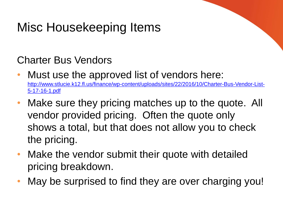# Misc Housekeeping Items

#### Charter Bus Vendors

- Must use the approved list of vendors here: [http://www.stlucie.k12.fl.us/finance/wp-content/uploads/sites/22/2016/10/Charter-Bus-Vendor-List-](http://www.stlucie.k12.fl.us/finance/wp-content/uploads/sites/22/2016/10/Charter-Bus-Vendor-List-5-17-16-1.pdf)5-17-16-1.pdf
- Make sure they pricing matches up to the quote. All vendor provided pricing. Often the quote only shows a total, but that does not allow you to check the pricing.
- Make the vendor submit their quote with detailed pricing breakdown.
- May be surprised to find they are over charging you!